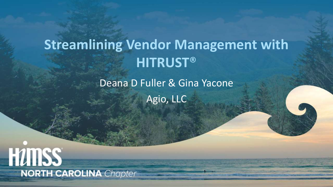# **Streamlining Vendor Management with HITRUST**®

Deana D Fuller & Gina Yacone

Agio, LLC

**HUTISS NORTH CAROLINA** Chapter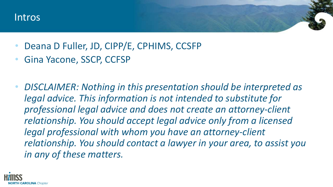#### Intros

- Deana D Fuller, JD, CIPP/E, CPHIMS, CCSFP
- Gina Yacone, SSCP, CCFSP
- *DISCLAIMER: Nothing in this presentation should be interpreted as legal advice. This information is not intended to substitute for professional legal advice and does not create an attorney-client relationship. You should accept legal advice only from a licensed legal professional with whom you have an attorney-client relationship. You should contact a lawyer in your area, to assist you in any of these matters.*

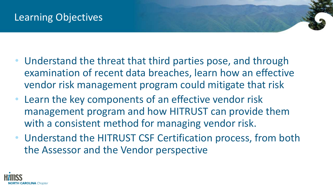# Learning Objectives

- Understand the threat that third parties pose, and through examination of recent data breaches, learn how an effective vendor risk management program could mitigate that risk
- Learn the key components of an effective vendor risk management program and how HITRUST can provide them with a consistent method for managing vendor risk.
- Understand the HITRUST CSF Certification process, from both the Assessor and the Vendor perspective

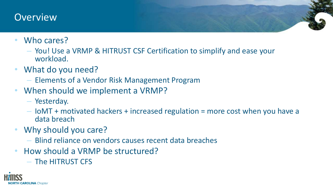#### **Overview**

- Who cares?
	- You! Use a VRMP & HITRUST CSF Certification to simplify and ease your workload.
- What do you need?
	- Elements of a Vendor Risk Management Program
- When should we implement a VRMP?
	- Yesterday.
	- IoMT + motivated hackers + increased regulation = more cost when you have a data breach
- Why should you care?
	- Blind reliance on vendors causes recent data breaches
- How should a VRMP be structured?
	- The HITRUST CFS

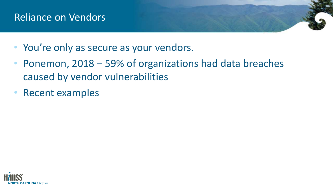#### Reliance on Vendors

- You're only as secure as your vendors.
- Ponemon, 2018 59% of organizations had data breaches caused by vendor vulnerabilities
- Recent examples

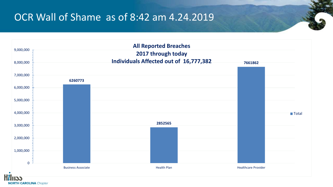#### OCR Wall of Shame as of 8:42 am 4.24.2019



**NORTH CAROLINA** Chapter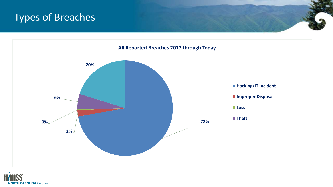# Types of Breaches



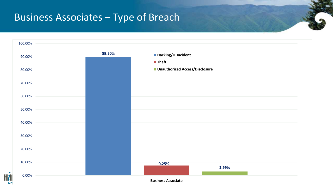#### Business Associates – Type of Breach

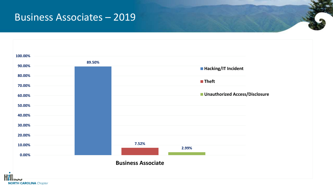#### Business Associates – 2019

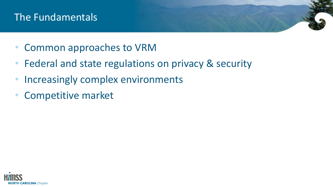# The Fundamentals

- Common approaches to VRM
- Federal and state regulations on privacy & security
- Increasingly complex environments
- Competitive market

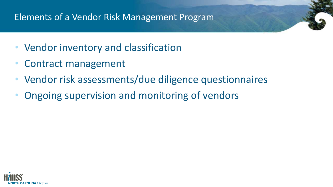#### Elements of a Vendor Risk Management Program

- Vendor inventory and classification
- Contract management
- Vendor risk assessments/due diligence questionnaires
- Ongoing supervision and monitoring of vendors

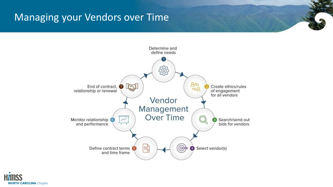# Managing your Vendors over Time



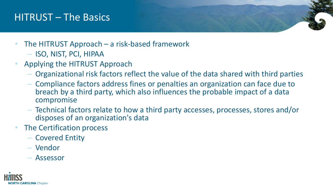## HITRUST – The Basics

- The HITRUST Approach a risk-based framework
	- ISO, NIST, PCI, HIPAA
- Applying the HITRUST Approach
	- Organizational risk factors reflect the value of the data shared with third parties
	- Compliance factors address fines or penalties an organization can face due to breach by a third party, which also influences the probable impact of a data compromise
	- Technical factors relate to how a third party accesses, processes, stores and/or disposes of an organization's data
- The Certification process
	- Covered Entity
	- Vendor
	- Assessor